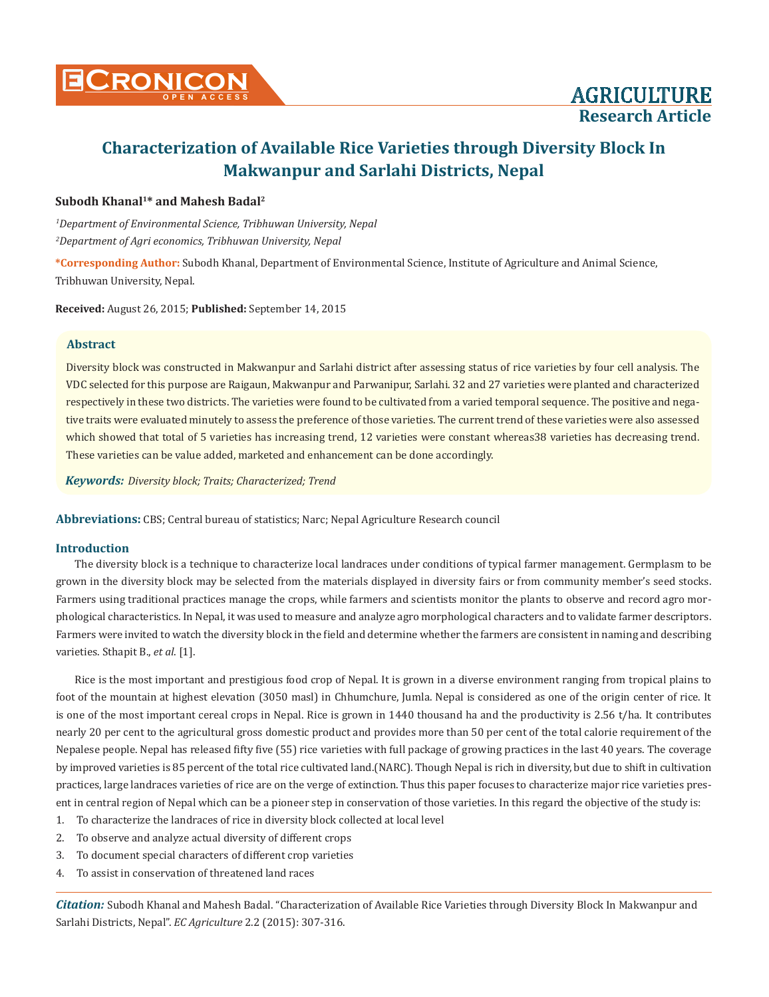

## **Subodh Khanal1\* and Mahesh Badal2**

*1 Department of Environmental Science, Tribhuwan University, Nepal 2 Department of Agri economics, Tribhuwan University, Nepal*

**\*Corresponding Author:** Subodh Khanal, Department of Environmental Science, Institute of Agriculture and Animal Science, Tribhuwan University, Nepal.

**Received:** August 26, 2015; **Published:** September 14, 2015

## **Abstract**

Diversity block was constructed in Makwanpur and Sarlahi district after assessing status of rice varieties by four cell analysis. The VDC selected for this purpose are Raigaun, Makwanpur and Parwanipur, Sarlahi. 32 and 27 varieties were planted and characterized respectively in these two districts. The varieties were found to be cultivated from a varied temporal sequence. The positive and negative traits were evaluated minutely to assess the preference of those varieties. The current trend of these varieties were also assessed which showed that total of 5 varieties has increasing trend, 12 varieties were constant whereas38 varieties has decreasing trend. These varieties can be value added, marketed and enhancement can be done accordingly.

*Keywords: Diversity block; Traits; Characterized; Trend*

**Abbreviations:** CBS; Central bureau of statistics; Narc; Nepal Agriculture Research council

## **Introduction**

The diversity block is a technique to characterize local landraces under conditions of typical farmer management. Germplasm to be grown in the diversity block may be selected from the materials displayed in diversity fairs or from community member's seed stocks. Farmers using traditional practices manage the crops, while farmers and scientists monitor the plants to observe and record agro morphological characteristics. In Nepal, it was used to measure and analyze agro morphological characters and to validate farmer descriptors. Farmers were invited to watch the diversity block in the field and determine whether the farmers are consistent in naming and describing varieties. Sthapit B., *et al*. [1].

Rice is the most important and prestigious food crop of Nepal. It is grown in a diverse environment ranging from tropical plains to foot of the mountain at highest elevation (3050 masl) in Chhumchure, Jumla. Nepal is considered as one of the origin center of rice. It is one of the most important cereal crops in Nepal. Rice is grown in 1440 thousand ha and the productivity is 2.56 t/ha. It contributes nearly 20 per cent to the agricultural gross domestic product and provides more than 50 per cent of the total calorie requirement of the Nepalese people. Nepal has released fifty five (55) rice varieties with full package of growing practices in the last 40 years. The coverage by improved varieties is 85 percent of the total rice cultivated land.(NARC). Though Nepal is rich in diversity, but due to shift in cultivation practices, large landraces varieties of rice are on the verge of extinction. Thus this paper focuses to characterize major rice varieties present in central region of Nepal which can be a pioneer step in conservation of those varieties. In this regard the objective of the study is:

- 1. To characterize the landraces of rice in diversity block collected at local level
- 2. To observe and analyze actual diversity of different crops
- 3. To document special characters of different crop varieties
- 4. To assist in conservation of threatened land races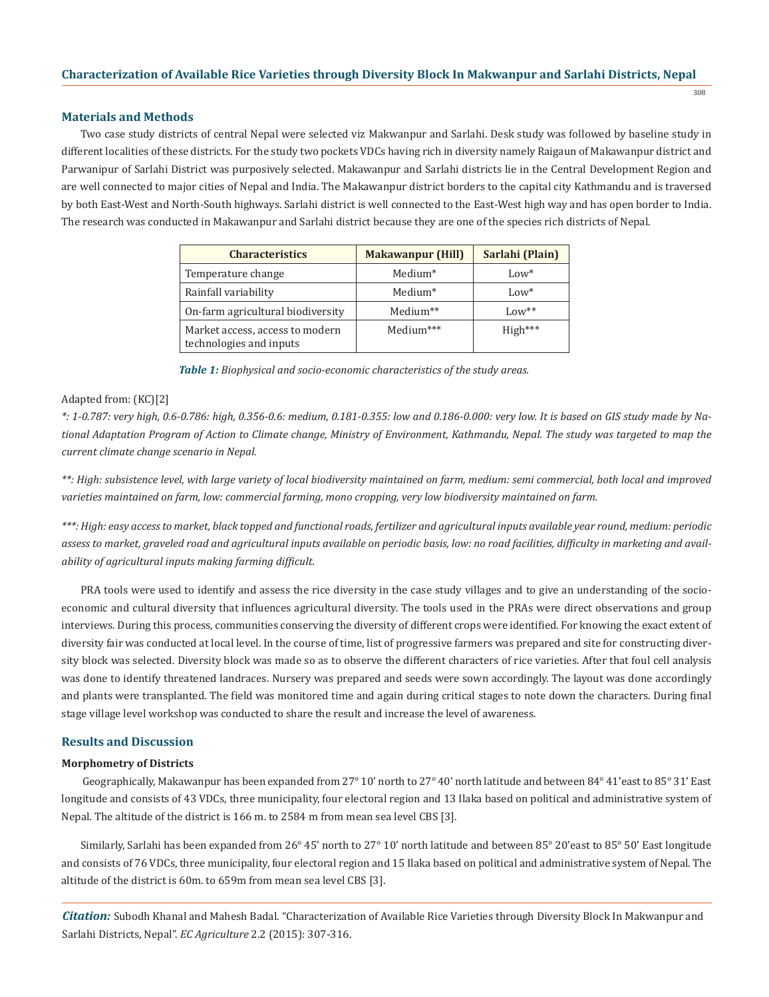308

### **Materials and Methods**

Two case study districts of central Nepal were selected viz Makwanpur and Sarlahi. Desk study was followed by baseline study in different localities of these districts. For the study two pockets VDCs having rich in diversity namely Raigaun of Makawanpur district and Parwanipur of Sarlahi District was purposively selected. Makawanpur and Sarlahi districts lie in the Central Development Region and are well connected to major cities of Nepal and India. The Makawanpur district borders to the capital city Kathmandu and is traversed by both East-West and North-South highways. Sarlahi district is well connected to the East-West high way and has open border to India. The research was conducted in Makawanpur and Sarlahi district because they are one of the species rich districts of Nepal.

| <b>Characteristics</b>                                     | <b>Makawanpur (Hill)</b> | Sarlahi (Plain) |
|------------------------------------------------------------|--------------------------|-----------------|
| Temperature change                                         | Medium <sup>*</sup>      | $Low*$          |
| Rainfall variability                                       | Medium <sup>*</sup>      | $Low*$          |
| On-farm agricultural biodiversity                          | Medium**                 | $Low**$         |
| Market access, access to modern<br>technologies and inputs | Medium***                | $High***$       |

*Table 1: Biophysical and socio-economic characteristics of the study areas.*

### Adapted from: (KC)[2]

*\*: 1-0.787: very high, 0.6-0.786: high, 0.356-0.6: medium, 0.181-0.355: low and 0.186-0.000: very low. It is based on GIS study made by National Adaptation Program of Action to Climate change, Ministry of Environment, Kathmandu, Nepal. The study was targeted to map the current climate change scenario in Nepal.* 

*\*\*: High: subsistence level, with large variety of local biodiversity maintained on farm, medium: semi commercial, both local and improved varieties maintained on farm, low: commercial farming, mono cropping, very low biodiversity maintained on farm.* 

*\*\*\*: High: easy access to market, black topped and functional roads, fertilizer and agricultural inputs available year round, medium: periodic assess to market, graveled road and agricultural inputs available on periodic basis, low: no road facilities, difficulty in marketing and availability of agricultural inputs making farming difficult.* 

PRA tools were used to identify and assess the rice diversity in the case study villages and to give an understanding of the socioeconomic and cultural diversity that influences agricultural diversity. The tools used in the PRAs were direct observations and group interviews. During this process, communities conserving the diversity of different crops were identified. For knowing the exact extent of diversity fair was conducted at local level. In the course of time, list of progressive farmers was prepared and site for constructing diversity block was selected. Diversity block was made so as to observe the different characters of rice varieties. After that foul cell analysis was done to identify threatened landraces. Nursery was prepared and seeds were sown accordingly. The layout was done accordingly and plants were transplanted. The field was monitored time and again during critical stages to note down the characters. During final stage village level workshop was conducted to share the result and increase the level of awareness.

### **Results and Discussion**

### **Morphometry of Districts**

 Geographically, Makawanpur has been expanded from 27° 10' north to 27° 40' north latitude and between 84° 41'east to 85° 31' East longitude and consists of 43 VDCs, three municipality, four electoral region and 13 Ilaka based on political and administrative system of Nepal. The altitude of the district is 166 m. to 2584 m from mean sea level CBS [3].

Similarly, Sarlahi has been expanded from 26° 45' north to 27° 10' north latitude and between 85° 20'east to 85° 50' East longitude and consists of 76 VDCs, three municipality, four electoral region and 15 Ilaka based on political and administrative system of Nepal. The altitude of the district is 60m. to 659m from mean sea level CBS [3].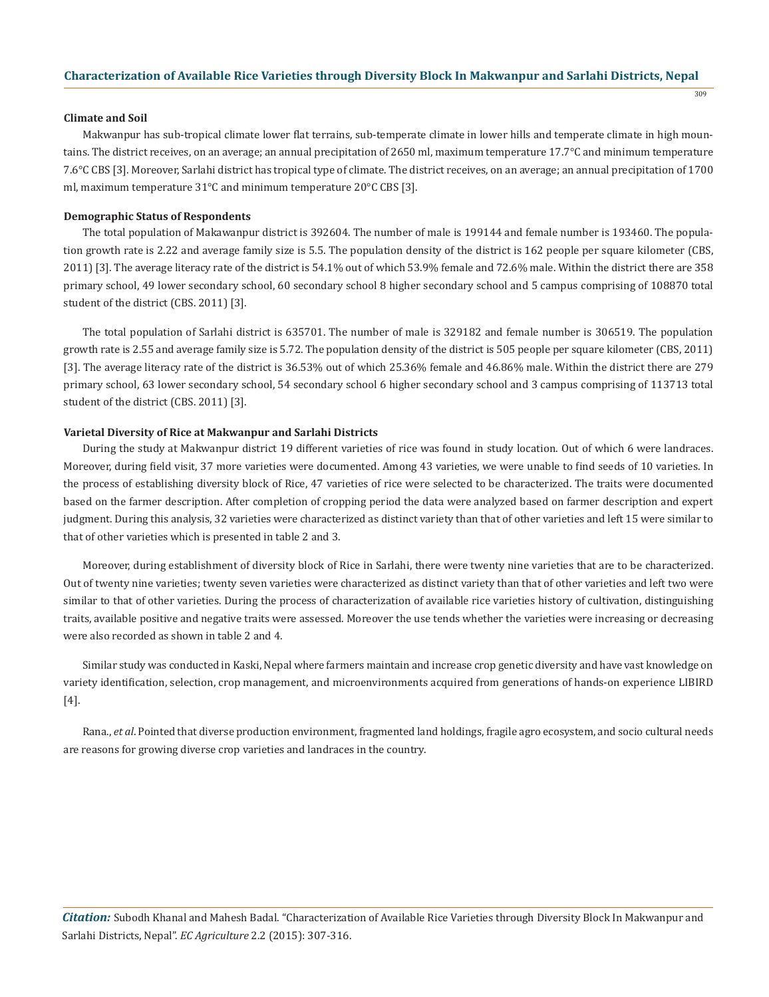309

#### **Climate and Soil**

Makwanpur has sub-tropical climate lower flat terrains, sub-temperate climate in lower hills and temperate climate in high mountains. The district receives, on an average; an annual precipitation of 2650 ml, maximum temperature 17.7°C and minimum temperature 7.6°C CBS [3]. Moreover, Sarlahi district has tropical type of climate. The district receives, on an average; an annual precipitation of 1700 ml, maximum temperature 31°C and minimum temperature 20°C CBS [3].

### **Demographic Status of Respondents**

The total population of Makawanpur district is 392604. The number of male is 199144 and female number is 193460. The population growth rate is 2.22 and average family size is 5.5. The population density of the district is 162 people per square kilometer (CBS, 2011) [3]. The average literacy rate of the district is 54.1% out of which 53.9% female and 72.6% male. Within the district there are 358 primary school, 49 lower secondary school, 60 secondary school 8 higher secondary school and 5 campus comprising of 108870 total student of the district (CBS. 2011) [3].

The total population of Sarlahi district is 635701. The number of male is 329182 and female number is 306519. The population growth rate is 2.55 and average family size is 5.72. The population density of the district is 505 people per square kilometer (CBS, 2011) [3]. The average literacy rate of the district is 36.53% out of which 25.36% female and 46.86% male. Within the district there are 279 primary school, 63 lower secondary school, 54 secondary school 6 higher secondary school and 3 campus comprising of 113713 total student of the district (CBS. 2011) [3].

#### **Varietal Diversity of Rice at Makwanpur and Sarlahi Districts**

During the study at Makwanpur district 19 different varieties of rice was found in study location. Out of which 6 were landraces. Moreover, during field visit, 37 more varieties were documented. Among 43 varieties, we were unable to find seeds of 10 varieties. In the process of establishing diversity block of Rice, 47 varieties of rice were selected to be characterized. The traits were documented based on the farmer description. After completion of cropping period the data were analyzed based on farmer description and expert judgment. During this analysis, 32 varieties were characterized as distinct variety than that of other varieties and left 15 were similar to that of other varieties which is presented in table 2 and 3.

Moreover, during establishment of diversity block of Rice in Sarlahi, there were twenty nine varieties that are to be characterized. Out of twenty nine varieties; twenty seven varieties were characterized as distinct variety than that of other varieties and left two were similar to that of other varieties. During the process of characterization of available rice varieties history of cultivation, distinguishing traits, available positive and negative traits were assessed. Moreover the use tends whether the varieties were increasing or decreasing were also recorded as shown in table 2 and 4.

Similar study was conducted in Kaski, Nepal where farmers maintain and increase crop genetic diversity and have vast knowledge on variety identification, selection, crop management, and microenvironments acquired from generations of hands-on experience LIBIRD [4].

Rana., *et al*. Pointed that diverse production environment, fragmented land holdings, fragile agro ecosystem, and socio cultural needs are reasons for growing diverse crop varieties and landraces in the country.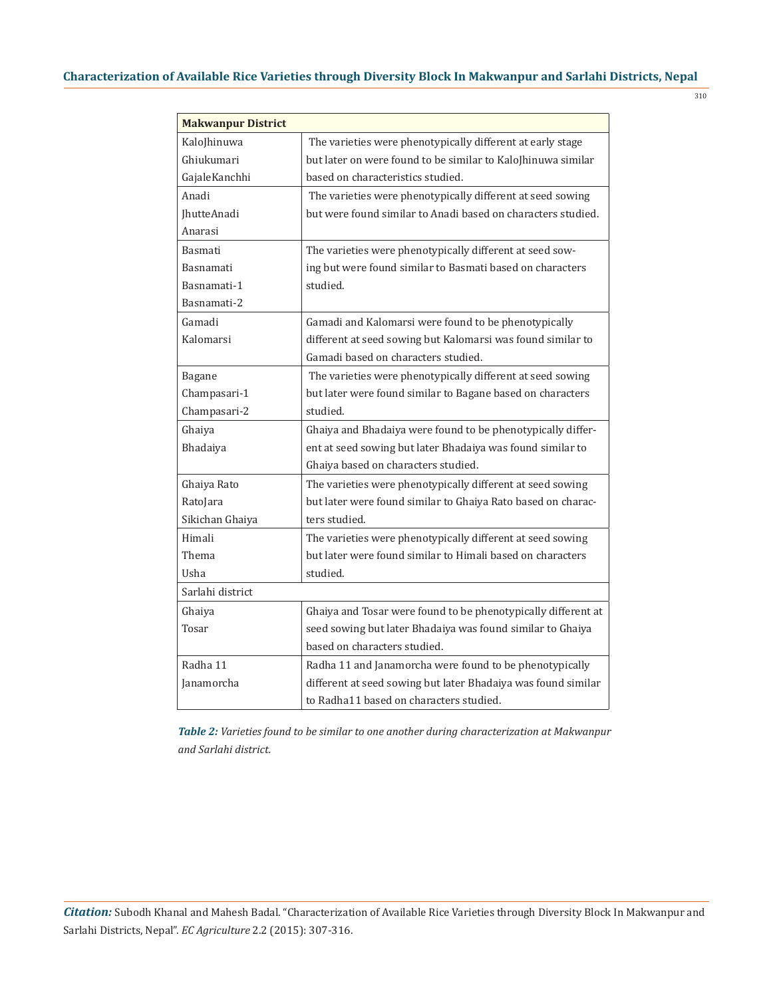310

| <b>Makwanpur District</b> |                                                               |
|---------------------------|---------------------------------------------------------------|
| KaloJhinuwa               | The varieties were phenotypically different at early stage    |
| Ghiukumari                | but later on were found to be similar to KaloJhinuwa similar  |
| GajaleKanchhi             | based on characteristics studied.                             |
| Anadi                     | The varieties were phenotypically different at seed sowing    |
| JhutteAnadi               | but were found similar to Anadi based on characters studied.  |
| Anarasi                   |                                                               |
| <b>Basmati</b>            | The varieties were phenotypically different at seed sow-      |
| Basnamati                 | ing but were found similar to Basmati based on characters     |
| Basnamati-1               | studied.                                                      |
| Basnamati-2               |                                                               |
| Gamadi                    | Gamadi and Kalomarsi were found to be phenotypically          |
| Kalomarsi                 | different at seed sowing but Kalomarsi was found similar to   |
|                           | Gamadi based on characters studied.                           |
| Bagane                    | The varieties were phenotypically different at seed sowing    |
| Champasari-1              | but later were found similar to Bagane based on characters    |
| Champasari-2              | studied.                                                      |
| Ghaiya                    | Ghaiya and Bhadaiya were found to be phenotypically differ-   |
| Bhadaiya                  | ent at seed sowing but later Bhadaiya was found similar to    |
|                           | Ghaiya based on characters studied.                           |
| Ghaiya Rato               | The varieties were phenotypically different at seed sowing    |
| RatoJara                  | but later were found similar to Ghaiya Rato based on charac-  |
| Sikichan Ghaiya           | ters studied.                                                 |
| Himali                    | The varieties were phenotypically different at seed sowing    |
| Thema                     | but later were found similar to Himali based on characters    |
| Usha                      | studied.                                                      |
| Sarlahi district          |                                                               |
| Ghaiya                    | Ghaiya and Tosar were found to be phenotypically different at |
| Tosar                     | seed sowing but later Bhadaiya was found similar to Ghaiya    |
|                           | based on characters studied.                                  |
| Radha 11                  | Radha 11 and Janamorcha were found to be phenotypically       |
| Janamorcha                | different at seed sowing but later Bhadaiya was found similar |
|                           | to Radha11 based on characters studied.                       |

*Table 2: Varieties found to be similar to one another during characterization at Makwanpur and Sarlahi district.*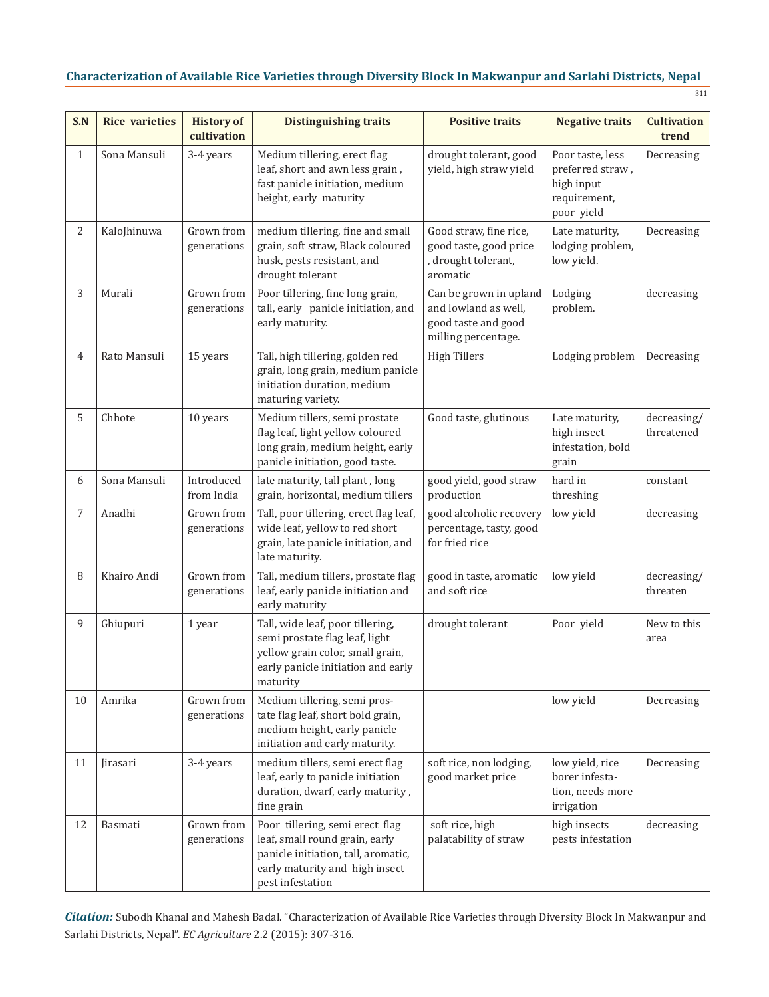311

| S.N          | <b>Rice varieties</b> | <b>History of</b><br>cultivation | <b>Distinguishing traits</b>                                                                                                                                   | <b>Positive traits</b>                                                                       | <b>Negative traits</b>                                                           | <b>Cultivation</b><br>trend |
|--------------|-----------------------|----------------------------------|----------------------------------------------------------------------------------------------------------------------------------------------------------------|----------------------------------------------------------------------------------------------|----------------------------------------------------------------------------------|-----------------------------|
| $\mathbf{1}$ | Sona Mansuli          | 3-4 years                        | Medium tillering, erect flag<br>leaf, short and awn less grain,<br>fast panicle initiation, medium<br>height, early maturity                                   | drought tolerant, good<br>yield, high straw yield                                            | Poor taste, less<br>preferred straw,<br>high input<br>requirement,<br>poor yield | Decreasing                  |
| 2            | KaloJhinuwa           | Grown from<br>generations        | medium tillering, fine and small<br>grain, soft straw, Black coloured<br>husk, pests resistant, and<br>drought tolerant                                        | Good straw, fine rice,<br>good taste, good price<br>, drought tolerant,<br>aromatic          | Late maturity,<br>lodging problem,<br>low yield.                                 | Decreasing                  |
| 3            | Murali                | Grown from<br>generations        | Poor tillering, fine long grain,<br>tall, early panicle initiation, and<br>early maturity.                                                                     | Can be grown in upland<br>and lowland as well,<br>good taste and good<br>milling percentage. | Lodging<br>problem.                                                              | decreasing                  |
| 4            | Rato Mansuli          | 15 years                         | Tall, high tillering, golden red<br>grain, long grain, medium panicle<br>initiation duration, medium<br>maturing variety.                                      | <b>High Tillers</b>                                                                          | Lodging problem                                                                  | Decreasing                  |
| 5            | Chhote                | 10 years                         | Medium tillers, semi prostate<br>flag leaf, light yellow coloured<br>long grain, medium height, early<br>panicle initiation, good taste.                       | Good taste, glutinous                                                                        | Late maturity,<br>high insect<br>infestation, bold<br>grain                      | decreasing/<br>threatened   |
| 6            | Sona Mansuli          | Introduced<br>from India         | late maturity, tall plant, long<br>grain, horizontal, medium tillers                                                                                           | good yield, good straw<br>production                                                         | hard in<br>threshing                                                             | constant                    |
| 7            | Anadhi                | Grown from<br>generations        | Tall, poor tillering, erect flag leaf,<br>wide leaf, yellow to red short<br>grain, late panicle initiation, and<br>late maturity.                              | good alcoholic recovery<br>percentage, tasty, good<br>for fried rice                         | low yield                                                                        | decreasing                  |
| 8            | Khairo Andi           | Grown from<br>generations        | Tall, medium tillers, prostate flag<br>leaf, early panicle initiation and<br>early maturity                                                                    | good in taste, aromatic<br>and soft rice                                                     | low yield                                                                        | decreasing/<br>threaten     |
| 9            | Ghiupuri              | 1 year                           | Tall, wide leaf, poor tillering,<br>semi prostate flag leaf, light<br>yellow grain color, small grain,<br>early panicle initiation and early<br>maturity       | drought tolerant                                                                             | Poor yield                                                                       | New to this<br>area         |
| 10           | Amrika                | Grown from<br>generations        | Medium tillering, semi pros-<br>tate flag leaf, short bold grain,<br>medium height, early panicle<br>initiation and early maturity.                            |                                                                                              | low yield                                                                        | Decreasing                  |
| 11           | Jirasari              | 3-4 years                        | medium tillers, semi erect flag<br>leaf, early to panicle initiation<br>duration, dwarf, early maturity,<br>fine grain                                         | soft rice, non lodging,<br>good market price                                                 | low yield, rice<br>borer infesta-<br>tion, needs more<br>irrigation              | Decreasing                  |
| 12           | Basmati               | Grown from<br>generations        | Poor tillering, semi erect flag<br>leaf, small round grain, early<br>panicle initiation, tall, aromatic,<br>early maturity and high insect<br>pest infestation | soft rice, high<br>palatability of straw                                                     | high insects<br>pests infestation                                                | decreasing                  |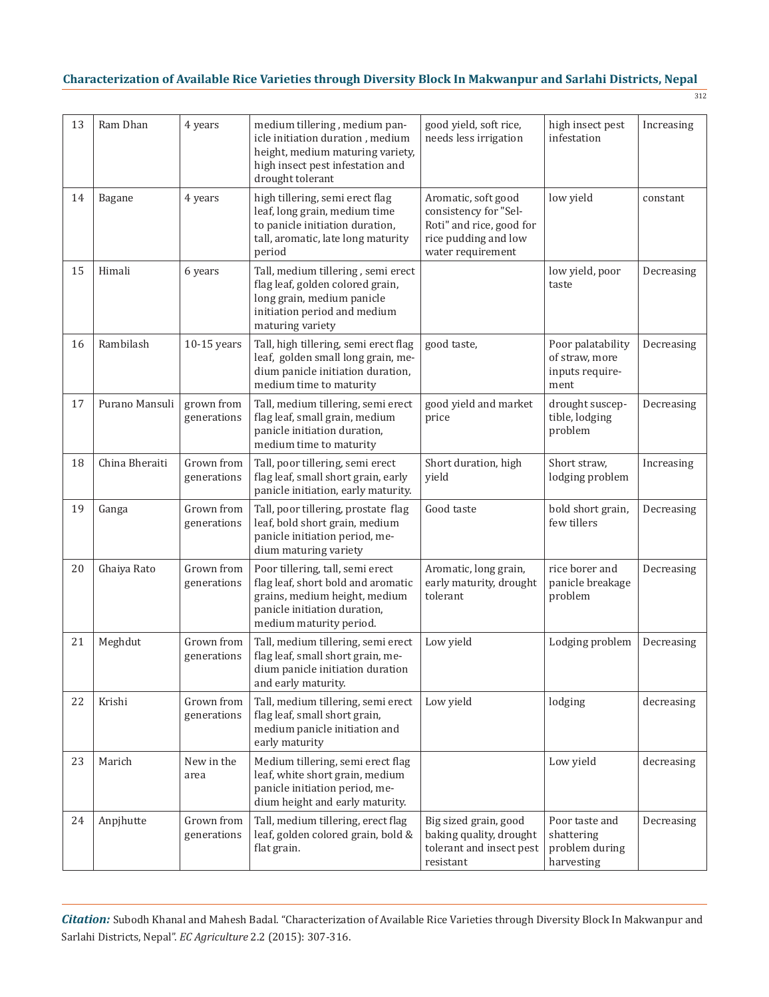312

| 13 | Ram Dhan       | 4 years                   | medium tillering, medium pan-<br>icle initiation duration, medium<br>height, medium maturing variety,<br>high insect pest infestation and<br>drought tolerant      | good yield, soft rice,<br>needs less irrigation                                                                       | high insect pest<br>infestation                                | Increasing |
|----|----------------|---------------------------|--------------------------------------------------------------------------------------------------------------------------------------------------------------------|-----------------------------------------------------------------------------------------------------------------------|----------------------------------------------------------------|------------|
| 14 | Bagane         | 4 years                   | high tillering, semi erect flag<br>leaf, long grain, medium time<br>to panicle initiation duration,<br>tall, aromatic, late long maturity<br>period                | Aromatic, soft good<br>consistency for "Sel-<br>Roti" and rice, good for<br>rice pudding and low<br>water requirement | low yield                                                      | constant   |
| 15 | Himali         | 6 years                   | Tall, medium tillering, semi erect<br>flag leaf, golden colored grain,<br>long grain, medium panicle<br>initiation period and medium<br>maturing variety           |                                                                                                                       | low yield, poor<br>taste                                       | Decreasing |
| 16 | Rambilash      | $10-15$ years             | Tall, high tillering, semi erect flag<br>leaf, golden small long grain, me-<br>dium panicle initiation duration,<br>medium time to maturity                        | good taste,                                                                                                           | Poor palatability<br>of straw, more<br>inputs require-<br>ment | Decreasing |
| 17 | Purano Mansuli | grown from<br>generations | Tall, medium tillering, semi erect<br>flag leaf, small grain, medium<br>panicle initiation duration,<br>medium time to maturity                                    | good yield and market<br>price                                                                                        | drought suscep-<br>tible, lodging<br>problem                   | Decreasing |
| 18 | China Bheraiti | Grown from<br>generations | Tall, poor tillering, semi erect<br>flag leaf, small short grain, early<br>panicle initiation, early maturity.                                                     | Short duration, high<br>yield                                                                                         | Short straw,<br>lodging problem                                | Increasing |
| 19 | Ganga          | Grown from<br>generations | Tall, poor tillering, prostate flag<br>leaf, bold short grain, medium<br>panicle initiation period, me-<br>dium maturing variety                                   | Good taste                                                                                                            | bold short grain,<br>few tillers                               | Decreasing |
| 20 | Ghaiya Rato    | Grown from<br>generations | Poor tillering, tall, semi erect<br>flag leaf, short bold and aromatic<br>grains, medium height, medium<br>panicle initiation duration,<br>medium maturity period. | Aromatic, long grain,<br>early maturity, drought<br>tolerant                                                          | rice borer and<br>panicle breakage<br>problem                  | Decreasing |
| 21 | Meghdut        | Grown from<br>generations | Tall, medium tillering, semi erect<br>flag leaf, small short grain, me-<br>dium panicle initiation duration<br>and early maturity.                                 | Low yield                                                                                                             | Lodging problem                                                | Decreasing |
| 22 | Krishi         | Grown from<br>generations | Tall, medium tillering, semi erect<br>flag leaf, small short grain,<br>medium panicle initiation and<br>early maturity                                             | Low yield                                                                                                             | lodging                                                        | decreasing |
| 23 | Marich         | New in the<br>area        | Medium tillering, semi erect flag<br>leaf, white short grain, medium<br>panicle initiation period, me-<br>dium height and early maturity.                          |                                                                                                                       | Low yield                                                      | decreasing |
| 24 | Anpjhutte      | Grown from<br>generations | Tall, medium tillering, erect flag<br>leaf, golden colored grain, bold &<br>flat grain.                                                                            | Big sized grain, good<br>baking quality, drought<br>tolerant and insect pest<br>resistant                             | Poor taste and<br>shattering<br>problem during<br>harvesting   | Decreasing |

*Citation:* Subodh Khanal and Mahesh Badal. "Characterization of Available Rice Varieties through Diversity Block In Makwanpur and Sarlahi Districts, Nepal". *EC Agriculture* 2.2 (2015): 307-316.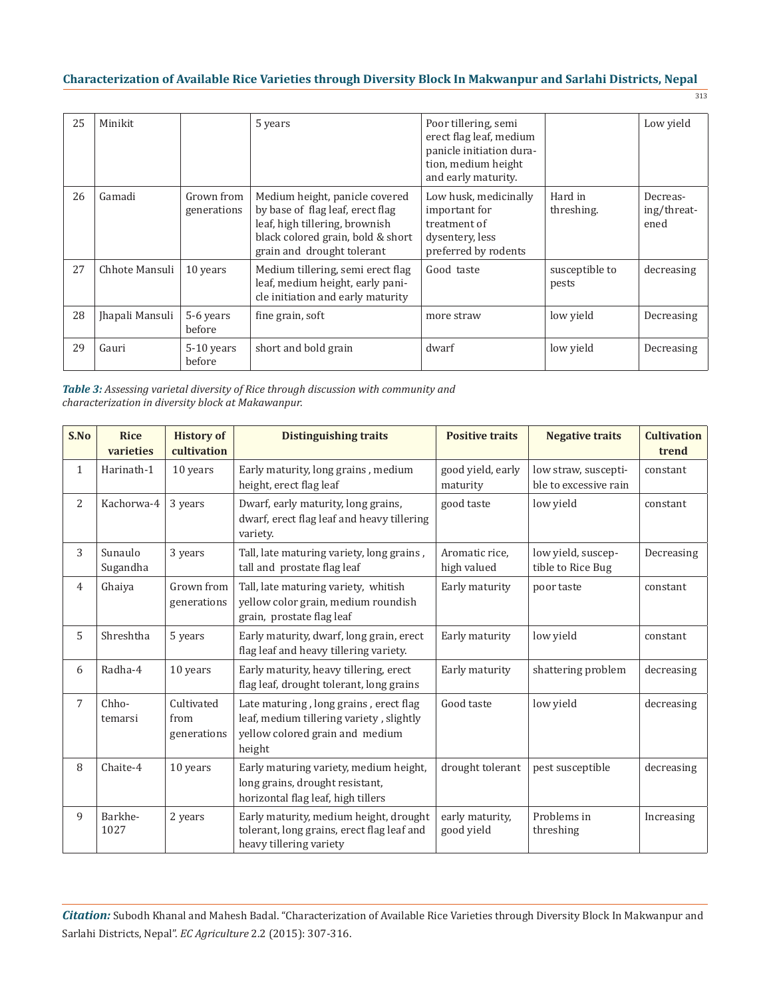| 25 | Minikit         |                           | 5 years                                                                                                                                                                 | Poor tillering, semi<br>erect flag leaf, medium<br>panicle initiation dura-<br>tion, medium height<br>and early maturity. |                         | Low yield                       |
|----|-----------------|---------------------------|-------------------------------------------------------------------------------------------------------------------------------------------------------------------------|---------------------------------------------------------------------------------------------------------------------------|-------------------------|---------------------------------|
| 26 | Gamadi          | Grown from<br>generations | Medium height, panicle covered<br>by base of flag leaf, erect flag<br>leaf, high tillering, brownish<br>black colored grain, bold & short<br>grain and drought tolerant | Low husk, medicinally<br>important for<br>treatment of<br>dysentery, less<br>preferred by rodents                         | Hard in<br>threshing.   | Decreas-<br>ing/threat-<br>ened |
| 27 | Chhote Mansuli  | 10 years                  | Medium tillering, semi erect flag<br>leaf, medium height, early pani-<br>cle initiation and early maturity                                                              | Good taste                                                                                                                | susceptible to<br>pests | decreasing                      |
| 28 | Jhapali Mansuli | 5-6 years<br>before       | fine grain, soft                                                                                                                                                        | more straw                                                                                                                | low yield               | Decreasing                      |
| 29 | Gauri           | $5-10$ years<br>hefore    | short and bold grain                                                                                                                                                    | dwarf                                                                                                                     | low yield               | Decreasing                      |

| <b>Table 3:</b> Assessing varietal diversity of Rice through discussion with community and |
|--------------------------------------------------------------------------------------------|
| characterization in diversity block at Makawanpur.                                         |

| S.No           | <b>Rice</b><br>varieties | <b>History of</b><br>cultivation  | <b>Distinguishing traits</b>                                                                                                    | <b>Positive traits</b>        | <b>Negative traits</b>                        | <b>Cultivation</b><br>trend |
|----------------|--------------------------|-----------------------------------|---------------------------------------------------------------------------------------------------------------------------------|-------------------------------|-----------------------------------------------|-----------------------------|
| $\mathbf{1}$   | Harinath-1               | 10 years                          | Early maturity, long grains, medium<br>height, erect flag leaf                                                                  | good yield, early<br>maturity | low straw, suscepti-<br>ble to excessive rain | constant                    |
| 2              | Kachorwa-4               | 3 years                           | Dwarf, early maturity, long grains,<br>dwarf, erect flag leaf and heavy tillering<br>variety.                                   | good taste                    | low yield                                     | constant                    |
| 3              | Sunaulo<br>Sugandha      | 3 years                           | Tall, late maturing variety, long grains,<br>tall and prostate flag leaf                                                        | Aromatic rice,<br>high valued | low yield, suscep-<br>tible to Rice Bug       | Decreasing                  |
| $\overline{4}$ | Ghaiya                   | Grown from<br>generations         | Tall, late maturing variety, whitish<br>yellow color grain, medium roundish<br>grain, prostate flag leaf                        | Early maturity                | poor taste                                    | constant                    |
| 5              | Shreshtha                | 5 years                           | Early maturity, dwarf, long grain, erect<br>flag leaf and heavy tillering variety.                                              | Early maturity                | low yield                                     | constant                    |
| 6              | Radha-4                  | 10 years                          | Early maturity, heavy tillering, erect<br>flag leaf, drought tolerant, long grains                                              | Early maturity                | shattering problem                            | decreasing                  |
| 7              | Chho-<br>temarsi         | Cultivated<br>from<br>generations | Late maturing, long grains, erect flag<br>leaf, medium tillering variety, slightly<br>yellow colored grain and medium<br>height | Good taste                    | low yield                                     | decreasing                  |
| 8              | Chaite-4                 | 10 years                          | Early maturing variety, medium height,<br>long grains, drought resistant,<br>horizontal flag leaf, high tillers                 | drought tolerant              | pest susceptible                              | decreasing                  |
| 9              | Barkhe-<br>1027          | 2 years                           | Early maturity, medium height, drought<br>tolerant, long grains, erect flag leaf and<br>heavy tillering variety                 | early maturity,<br>good yield | Problems in<br>threshing                      | Increasing                  |

*Citation:* Subodh Khanal and Mahesh Badal. "Characterization of Available Rice Varieties through Diversity Block In Makwanpur and Sarlahi Districts, Nepal". *EC Agriculture* 2.2 (2015): 307-316.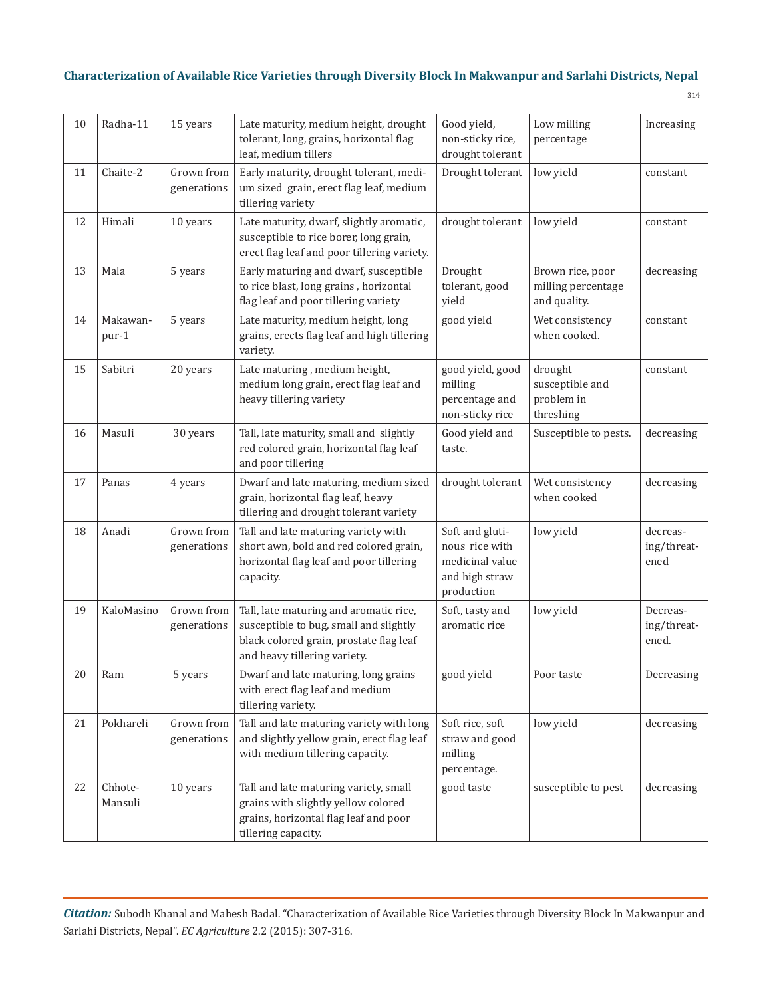| ×<br>۰. |
|---------|
|---------|

| 10 | Radha-11           | 15 years                  | Late maturity, medium height, drought<br>tolerant, long, grains, horizontal flag<br>leaf, medium tillers                                                    | Good yield,<br>non-sticky rice,<br>drought tolerant                                  | Low milling<br>percentage                              | Increasing                       |
|----|--------------------|---------------------------|-------------------------------------------------------------------------------------------------------------------------------------------------------------|--------------------------------------------------------------------------------------|--------------------------------------------------------|----------------------------------|
| 11 | Chaite-2           | Grown from<br>generations | Early maturity, drought tolerant, medi-<br>um sized grain, erect flag leaf, medium<br>tillering variety                                                     | Drought tolerant                                                                     | low yield                                              | constant                         |
| 12 | Himali             | 10 years                  | Late maturity, dwarf, slightly aromatic,<br>susceptible to rice borer, long grain,<br>erect flag leaf and poor tillering variety.                           | drought tolerant                                                                     | low yield                                              | constant                         |
| 13 | Mala               | 5 years                   | Early maturing and dwarf, susceptible<br>to rice blast, long grains, horizontal<br>flag leaf and poor tillering variety                                     | Drought<br>tolerant, good<br>yield                                                   | Brown rice, poor<br>milling percentage<br>and quality. | decreasing                       |
| 14 | Makawan-<br>pur-1  | 5 years                   | Late maturity, medium height, long<br>grains, erects flag leaf and high tillering<br>variety.                                                               | good yield                                                                           | Wet consistency<br>when cooked.                        | constant                         |
| 15 | Sabitri            | 20 years                  | Late maturing, medium height,<br>medium long grain, erect flag leaf and<br>heavy tillering variety                                                          | good yield, good<br>milling<br>percentage and<br>non-sticky rice                     | drought<br>susceptible and<br>problem in<br>threshing  | constant                         |
| 16 | Masuli             | 30 years                  | Tall, late maturity, small and slightly<br>red colored grain, horizontal flag leaf<br>and poor tillering                                                    | Good yield and<br>taste.                                                             | Susceptible to pests.                                  | decreasing                       |
| 17 | Panas              | 4 years                   | Dwarf and late maturing, medium sized<br>grain, horizontal flag leaf, heavy<br>tillering and drought tolerant variety                                       | drought tolerant                                                                     | Wet consistency<br>when cooked                         | decreasing                       |
| 18 | Anadi              | Grown from<br>generations | Tall and late maturing variety with<br>short awn, bold and red colored grain,<br>horizontal flag leaf and poor tillering<br>capacity.                       | Soft and gluti-<br>nous rice with<br>medicinal value<br>and high straw<br>production | low yield                                              | decreas-<br>ing/threat-<br>ened  |
| 19 | KaloMasino         | Grown from<br>generations | Tall, late maturing and aromatic rice,<br>susceptible to bug, small and slightly<br>black colored grain, prostate flag leaf<br>and heavy tillering variety. | Soft, tasty and<br>aromatic rice                                                     | low yield                                              | Decreas-<br>ing/threat-<br>ened. |
| 20 | Ram                | 5 years                   | Dwarf and late maturing, long grains<br>with erect flag leaf and medium<br>tillering variety.                                                               | good yield                                                                           | Poor taste                                             | Decreasing                       |
| 21 | Pokhareli          | Grown from<br>generations | Tall and late maturing variety with long<br>and slightly yellow grain, erect flag leaf<br>with medium tillering capacity.                                   | Soft rice, soft<br>straw and good<br>milling<br>percentage.                          | low yield                                              | decreasing                       |
| 22 | Chhote-<br>Mansuli | 10 years                  | Tall and late maturing variety, small<br>grains with slightly yellow colored<br>grains, horizontal flag leaf and poor<br>tillering capacity.                | good taste                                                                           | susceptible to pest                                    | decreasing                       |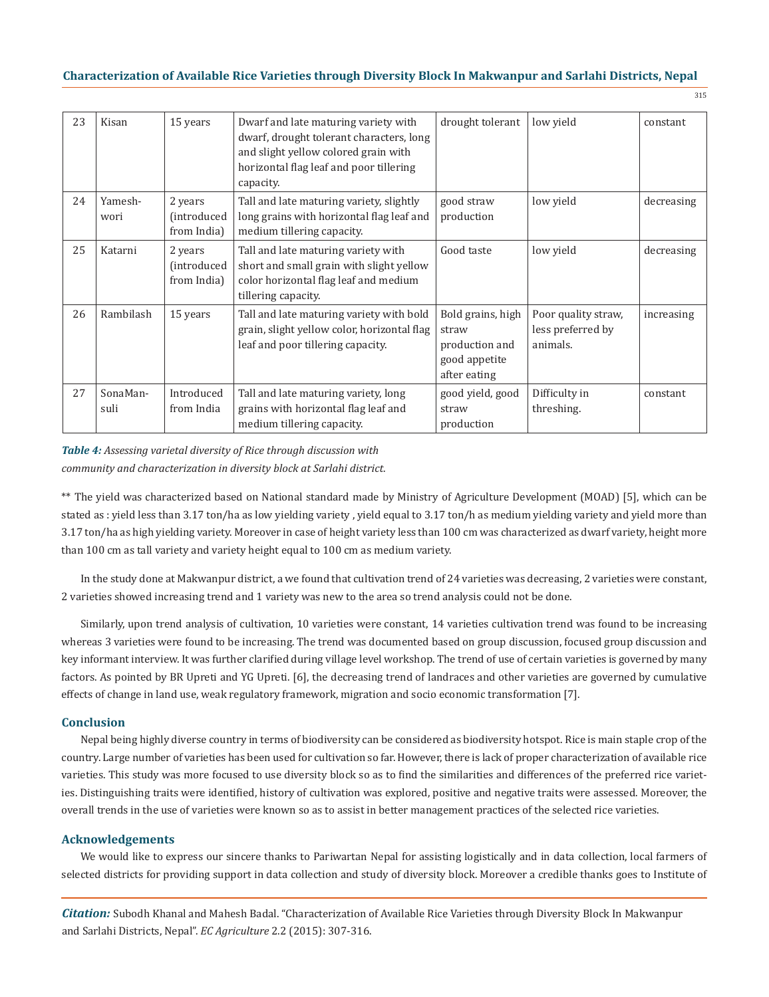| w | ۰, | I<br>۰,<br>w |
|---|----|--------------|

| 23 | Kisan            | 15 years                                      | Dwarf and late maturing variety with<br>dwarf, drought tolerant characters, long<br>and slight yellow colored grain with<br>horizontal flag leaf and poor tillering<br>capacity. | drought tolerant                                                              | low yield                                            | constant   |
|----|------------------|-----------------------------------------------|----------------------------------------------------------------------------------------------------------------------------------------------------------------------------------|-------------------------------------------------------------------------------|------------------------------------------------------|------------|
| 24 | Yamesh-<br>wori  | 2 years<br>(introduced<br>from India)         | Tall and late maturing variety, slightly<br>long grains with horizontal flag leaf and<br>medium tillering capacity.                                                              | good straw<br>production                                                      | low yield                                            | decreasing |
| 25 | Katarni          | 2 years<br><i>(introduced)</i><br>from India) | Tall and late maturing variety with<br>short and small grain with slight yellow<br>color horizontal flag leaf and medium<br>tillering capacity.                                  | Good taste                                                                    | low yield                                            | decreasing |
| 26 | Rambilash        | 15 years                                      | Tall and late maturing variety with bold<br>grain, slight yellow color, horizontal flag<br>leaf and poor tillering capacity.                                                     | Bold grains, high<br>straw<br>production and<br>good appetite<br>after eating | Poor quality straw,<br>less preferred by<br>animals. | increasing |
| 27 | SonaMan-<br>suli | Introduced<br>from India                      | Tall and late maturing variety, long<br>grains with horizontal flag leaf and<br>medium tillering capacity.                                                                       | good yield, good<br>straw<br>production                                       | Difficulty in<br>threshing.                          | constant   |

## *Table 4: Assessing varietal diversity of Rice through discussion with community and characterization in diversity block at Sarlahi district.*

\*\* The yield was characterized based on National standard made by Ministry of Agriculture Development (MOAD) [5], which can be stated as : yield less than 3.17 ton/ha as low yielding variety , yield equal to 3.17 ton/h as medium yielding variety and yield more than 3.17 ton/ha as high yielding variety. Moreover in case of height variety less than 100 cm was characterized as dwarf variety, height more than 100 cm as tall variety and variety height equal to 100 cm as medium variety.

In the study done at Makwanpur district, a we found that cultivation trend of 24 varieties was decreasing, 2 varieties were constant, 2 varieties showed increasing trend and 1 variety was new to the area so trend analysis could not be done.

Similarly, upon trend analysis of cultivation, 10 varieties were constant, 14 varieties cultivation trend was found to be increasing whereas 3 varieties were found to be increasing. The trend was documented based on group discussion, focused group discussion and key informant interview. It was further clarified during village level workshop. The trend of use of certain varieties is governed by many factors. As pointed by BR Upreti and YG Upreti. [6], the decreasing trend of landraces and other varieties are governed by cumulative effects of change in land use, weak regulatory framework, migration and socio economic transformation [7].

### **Conclusion**

Nepal being highly diverse country in terms of biodiversity can be considered as biodiversity hotspot. Rice is main staple crop of the country. Large number of varieties has been used for cultivation so far. However, there is lack of proper characterization of available rice varieties. This study was more focused to use diversity block so as to find the similarities and differences of the preferred rice varieties. Distinguishing traits were identified, history of cultivation was explored, positive and negative traits were assessed. Moreover, the overall trends in the use of varieties were known so as to assist in better management practices of the selected rice varieties.

### **Acknowledgements**

We would like to express our sincere thanks to Pariwartan Nepal for assisting logistically and in data collection, local farmers of selected districts for providing support in data collection and study of diversity block. Moreover a credible thanks goes to Institute of